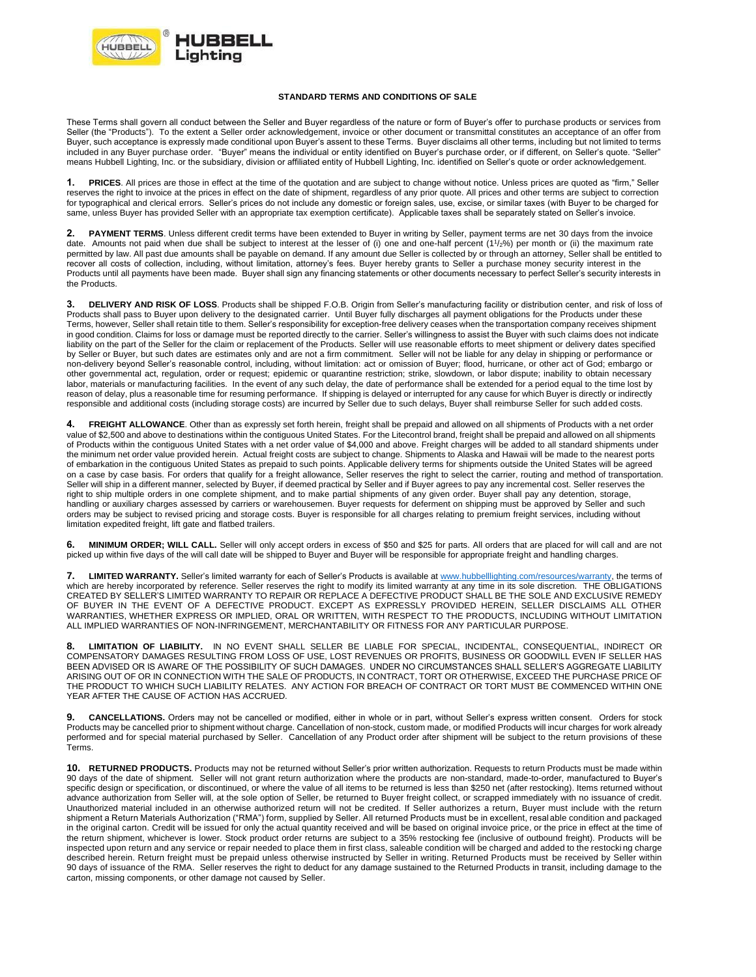

## **STANDARD TERMS AND CONDITIONS OF SALE**

These Terms shall govern all conduct between the Seller and Buyer regardless of the nature or form of Buyer's offer to purchase products or services from Seller (the "Products"). To the extent a Seller order acknowledgement, invoice or other document or transmittal constitutes an acceptance of an offer from Buyer, such acceptance is expressly made conditional upon Buyer's assent to these Terms. Buyer disclaims all other terms, including but not limited to terms included in any Buyer purchase order. "Buyer" means the individual or entity identified on Buyer's purchase order, or if different, on Seller's quote. "Seller" means Hubbell Lighting, Inc. or the subsidiary, division or affiliated entity of Hubbell Lighting, Inc. identified on Seller's quote or order acknowledgement.

**1. PRICES**. All prices are those in effect at the time of the quotation and are subject to change without notice. Unless prices are quoted as "firm," Seller reserves the right to invoice at the prices in effect on the date of shipment, regardless of any prior quote. All prices and other terms are subject to correction for typographical and clerical errors. Seller's prices do not include any domestic or foreign sales, use, excise, or similar taxes (with Buyer to be charged for same, unless Buyer has provided Seller with an appropriate tax exemption certificate). Applicable taxes shall be separately stated on Seller's invoice.

PAYMENT TERMS. Unless different credit terms have been extended to Buyer in writing by Seller, payment terms are net 30 days from the invoice date. Amounts not paid when due shall be subject to interest at the lesser of (i) one and one-half percent (11/2%) per month or (ii) the maximum rate permitted by law. All past due amounts shall be payable on demand. If any amount due Seller is collected by or through an attorney, Seller shall be entitled to recover all costs of collection, including, without limitation, attorney's fees. Buyer hereby grants to Seller a purchase money security interest in the Products until all payments have been made. Buyer shall sign any financing statements or other documents necessary to perfect Seller's security interests in the Products.

**3. DELIVERY AND RISK OF LOSS**. Products shall be shipped F.O.B. Origin from Seller's manufacturing facility or distribution center, and risk of loss of Products shall pass to Buyer upon delivery to the designated carrier. Until Buyer fully discharges all payment obligations for the Products under these Terms, however, Seller shall retain title to them. Seller's responsibility for exception-free delivery ceases when the transportation company receives shipment in good condition. Claims for loss or damage must be reported directly to the carrier. Seller's willingness to assist the Buyer with such claims does not indicate liability on the part of the Seller for the claim or replacement of the Products. Seller will use reasonable efforts to meet shipment or delivery dates specified by Seller or Buyer, but such dates are estimates only and are not a firm commitment. Seller will not be liable for any delay in shipping or performance or non-delivery beyond Seller's reasonable control, including, without limitation: act or omission of Buyer; flood, hurricane, or other act of God; embargo or other governmental act, regulation, order or request; epidemic or quarantine restriction; strike, slowdown, or labor dispute; inability to obtain necessary labor, materials or manufacturing facilities. In the event of any such delay, the date of performance shall be extended for a period equal to the time lost by reason of delay, plus a reasonable time for resuming performance. If shipping is delayed or interrupted for any cause for which Buyer is directly or indirectly responsible and additional costs (including storage costs) are incurred by Seller due to such delays, Buyer shall reimburse Seller for such added costs.

**4. FREIGHT ALLOWANCE**. Other than as expressly set forth herein, freight shall be prepaid and allowed on all shipments of Products with a net order value of \$2,500 and above to destinations within the contiguous United States. For the Litecontrol brand, freight shall be prepaid and allowed on all shipments of Products within the contiguous United States with a net order value of \$4,000 and above. Freight charges will be added to all standard shipments under the minimum net order value provided herein. Actual freight costs are subject to change. Shipments to Alaska and Hawaii will be made to the nearest ports of embarkation in the contiguous United States as prepaid to such points. Applicable delivery terms for shipments outside the United States will be agreed on a case by case basis. For orders that qualify for a freight allowance, Seller reserves the right to select the carrier, routing and method of transportation. Seller will ship in a different manner, selected by Buyer, if deemed practical by Seller and if Buyer agrees to pay any incremental cost. Seller reserves the right to ship multiple orders in one complete shipment, and to make partial shipments of any given order. Buyer shall pay any detention, storage, handling or auxiliary charges assessed by carriers or warehousemen. Buyer requests for deferment on shipping must be approved by Seller and such orders may be subject to revised pricing and storage costs. Buyer is responsible for all charges relating to premium freight services, including without limitation expedited freight, lift gate and flatbed trailers.

6. MINIMUM ORDER; WILL CALL. Seller will only accept orders in excess of \$50 and \$25 for parts. All orders that are placed for will call and are not<br>picked up within five days of the will call date will be shipped to Buyer

**7. LIMITED WARRANTY.** Seller's limited warranty for each of Seller's Products is available at [www.hubbelllighting.com/resources/warranty,](http://www.hubbelllighting.com/resources/warranty) the terms of which are hereby incorporated by reference. Seller reserves the right to modify its limited warranty at any time in its sole discretion. THE OBLIGATIONS CREATED BY SELLER'S LIMITED WARRANTY TO REPAIR OR REPLACE A DEFECTIVE PRODUCT SHALL BE THE SOLE AND EXCLUSIVE REMEDY OF BUYER IN THE EVENT OF A DEFECTIVE PRODUCT. EXCEPT AS EXPRESSLY PROVIDED HEREIN, SELLER DISCLAIMS ALL OTHER WARRANTIES, WHETHER EXPRESS OR IMPLIED, ORAL OR WRITTEN, WITH RESPECT TO THE PRODUCTS, INCLUDING WITHOUT LIMITATION ALL IMPLIED WARRANTIES OF NON-INFRINGEMENT, MERCHANTABILITY OR FITNESS FOR ANY PARTICULAR PURPOSE.

**8. LIMITATION OF LIABILITY.** IN NO EVENT SHALL SELLER BE LIABLE FOR SPECIAL, INCIDENTAL, CONSEQUENTIAL, INDIRECT OR<br>COMPENSATORY DAMAGES RESULTING FROM LOSS OF USE, LOST REVENUES OR PROFITS, BUSINESS OR GOODWILL EVEN IF S BEEN ADVISED OR IS AWARE OF THE POSSIBILITY OF SUCH DAMAGES. UNDER NO CIRCUMSTANCES SHALL SELLER'S AGGREGATE LIABILITY ARISING OUT OF OR IN CONNECTION WITH THE SALE OF PRODUCTS, IN CONTRACT, TORT OR OTHERWISE, EXCEED THE PURCHASE PRICE OF THE PRODUCT TO WHICH SUCH LIABILITY RELATES. ANY ACTION FOR BREACH OF CONTRACT OR TORT MUST BE COMMENCED WITHIN ONE YEAR AFTER THE CAUSE OF ACTION HAS ACCRUED.

**9. CANCELLATIONS.** Orders may not be cancelled or modified, either in whole or in part, without Seller's express written consent. Orders for stock Products may be cancelled prior to shipment without charge. Cancellation of non-stock, custom made, or modified Products will incur charges for work already performed and for special material purchased by Seller. Cancellation of any Product order after shipment will be subject to the return provisions of these Terms.

**10. RETURNED PRODUCTS.** Products may not be returned without Seller's prior written authorization. Requests to return Products must be made within 90 days of the date of shipment. Seller will not grant return authorization where the products are non-standard, made-to-order, manufactured to Buyer's specific design or specification, or discontinued, or where the value of all items to be returned is less than \$250 net (after restocking). Items returned without advance authorization from Seller will, at the sole option of Seller, be returned to Buyer freight collect, or scrapped immediately with no issuance of credit. Unauthorized material included in an otherwise authorized return will not be credited. If Seller authorizes a return, Buyer must include with the return shipment a Return Materials Authorization ("RMA") form, supplied by Seller. All returned Products must be in excellent, resal able condition and packaged in the original carton. Credit will be issued for only the actual quantity received and will be based on original invoice price, or the price in effect at the time of the return shipment, whichever is lower. Stock product order returns are subject to a 35% restocking fee (inclusive of outbound freight). Products will be inspected upon return and any service or repair needed to place them in first class, saleable condition will be charged and added to the restocki ng charge described herein. Return freight must be prepaid unless otherwise instructed by Seller in writing. Returned Products must be received by Seller within 90 days of issuance of the RMA. Seller reserves the right to deduct for any damage sustained to the Returned Products in transit, including damage to the carton, missing components, or other damage not caused by Seller.